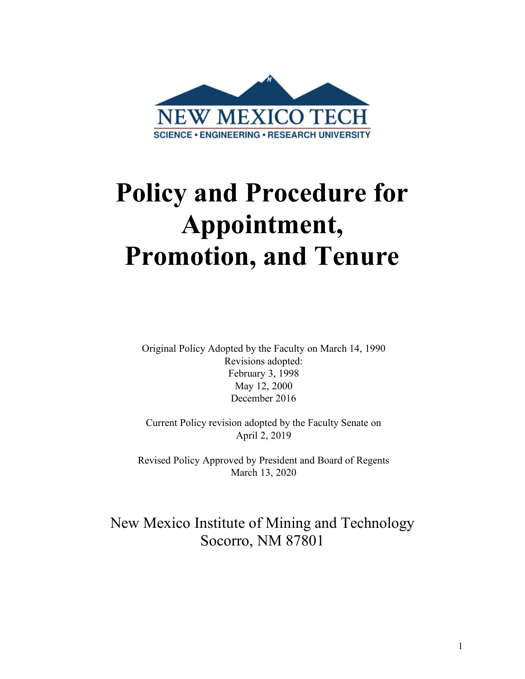

# **Policy and Procedure for Appointment, Promotion, and Tenure**

Original Policy Adopted by the Faculty on March 14, 1990 Revisions adopted: February 3, 1998 May 12, 2000 December 2016

Current Policy revision adopted by the Faculty Senate on April 2, 2019

Revised Policy Approved by President and Board of Regents March 13, 2020

# New Mexico Institute of Mining and Technology Socorro, NM 87801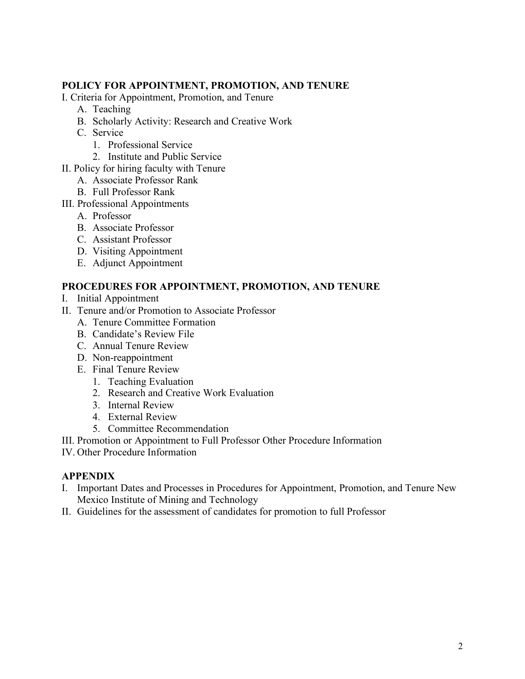# **POLICY FOR APPOINTMENT, PROMOTION, AND TENURE**

- I. Criteria for Appointment, Promotion, and Tenure
	- A. Teaching
	- B. Scholarly Activity: Research and Creative Work
	- C. Service
		- 1. Professional Service
		- 2. Institute and Public Service
- II. Policy for hiring faculty with Tenure
	- A. Associate Professor Rank
	- B. Full Professor Rank
- III. Professional Appointments
	- A. Professor
	- B. Associate Professor
	- C. Assistant Professor
	- D. Visiting Appointment
	- E. Adjunct Appointment

# **PROCEDURES FOR APPOINTMENT, PROMOTION, AND TENURE**

- I. Initial Appointment
- II. Tenure and/or Promotion to Associate Professor
	- A. Tenure Committee Formation
	- B. Candidate's Review File
	- C. Annual Tenure Review
	- D. Non-reappointment
	- E. Final Tenure Review
		- 1. Teaching Evaluation
		- 2. Research and Creative Work Evaluation
		- 3. Internal Review
		- 4. External Review
		- 5. Committee Recommendation
- III. Promotion or Appointment to Full Professor Other Procedure Information
- IV. Other Procedure Information

# **APPENDIX**

- I. Important Dates and Processes in Procedures for Appointment, Promotion, and Tenure New Mexico Institute of Mining and Technology
- II. Guidelines for the assessment of candidates for promotion to full Professor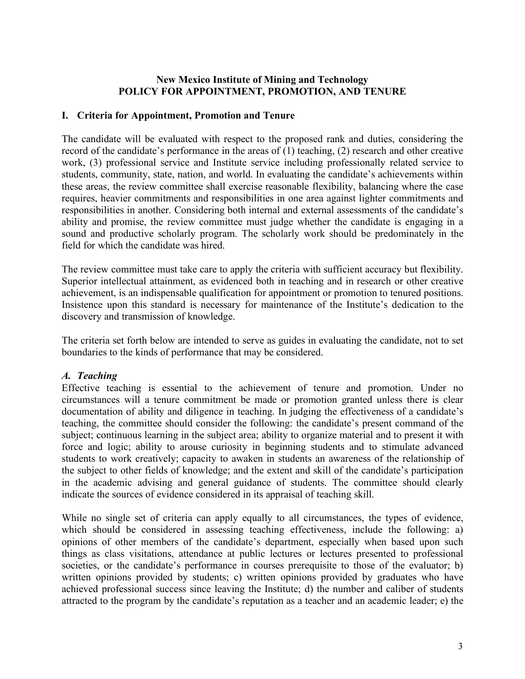# **New Mexico Institute of Mining and Technology POLICY FOR APPOINTMENT, PROMOTION, AND TENURE**

#### **I. Criteria for Appointment, Promotion and Tenure**

The candidate will be evaluated with respect to the proposed rank and duties, considering the record of the candidate's performance in the areas of (1) teaching, (2) research and other creative work, (3) professional service and Institute service including professionally related service to students, community, state, nation, and world. In evaluating the candidate's achievements within these areas, the review committee shall exercise reasonable flexibility, balancing where the case requires, heavier commitments and responsibilities in one area against lighter commitments and responsibilities in another. Considering both internal and external assessments of the candidate's ability and promise, the review committee must judge whether the candidate is engaging in a sound and productive scholarly program. The scholarly work should be predominately in the field for which the candidate was hired.

The review committee must take care to apply the criteria with sufficient accuracy but flexibility. Superior intellectual attainment, as evidenced both in teaching and in research or other creative achievement, is an indispensable qualification for appointment or promotion to tenured positions. Insistence upon this standard is necessary for maintenance of the Institute's dedication to the discovery and transmission of knowledge.

The criteria set forth below are intended to serve as guides in evaluating the candidate, not to set boundaries to the kinds of performance that may be considered.

#### *A. Teaching*

Effective teaching is essential to the achievement of tenure and promotion. Under no circumstances will a tenure commitment be made or promotion granted unless there is clear documentation of ability and diligence in teaching. In judging the effectiveness of a candidate's teaching, the committee should consider the following: the candidate's present command of the subject; continuous learning in the subject area; ability to organize material and to present it with force and logic; ability to arouse curiosity in beginning students and to stimulate advanced students to work creatively; capacity to awaken in students an awareness of the relationship of the subject to other fields of knowledge; and the extent and skill of the candidate's participation in the academic advising and general guidance of students. The committee should clearly indicate the sources of evidence considered in its appraisal of teaching skill.

While no single set of criteria can apply equally to all circumstances, the types of evidence, which should be considered in assessing teaching effectiveness, include the following: a) opinions of other members of the candidate's department, especially when based upon such things as class visitations, attendance at public lectures or lectures presented to professional societies, or the candidate's performance in courses prerequisite to those of the evaluator; b) written opinions provided by students; c) written opinions provided by graduates who have achieved professional success since leaving the Institute; d) the number and caliber of students attracted to the program by the candidate's reputation as a teacher and an academic leader; e) the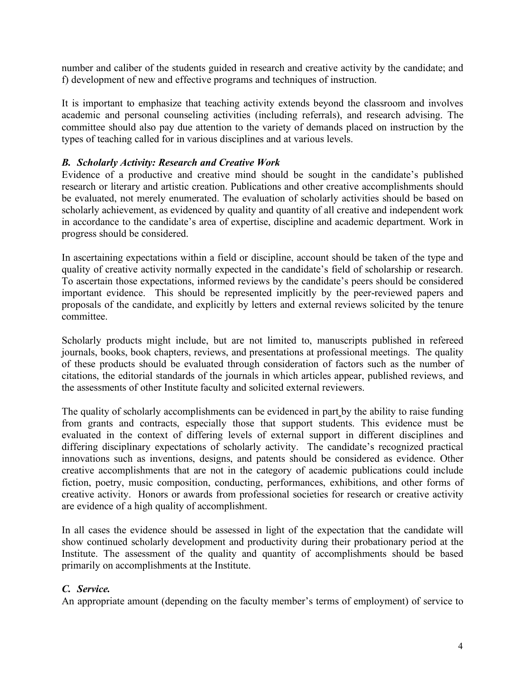number and caliber of the students guided in research and creative activity by the candidate; and f) development of new and effective programs and techniques of instruction.

It is important to emphasize that teaching activity extends beyond the classroom and involves academic and personal counseling activities (including referrals), and research advising. The committee should also pay due attention to the variety of demands placed on instruction by the types of teaching called for in various disciplines and at various levels.

# *B. Scholarly Activity: Research and Creative Work*

Evidence of a productive and creative mind should be sought in the candidate's published research or literary and artistic creation. Publications and other creative accomplishments should be evaluated, not merely enumerated. The evaluation of scholarly activities should be based on scholarly achievement, as evidenced by quality and quantity of all creative and independent work in accordance to the candidate's area of expertise, discipline and academic department. Work in progress should be considered.

In ascertaining expectations within a field or discipline, account should be taken of the type and quality of creative activity normally expected in the candidate's field of scholarship or research. To ascertain those expectations, informed reviews by the candidate's peers should be considered important evidence. This should be represented implicitly by the peer-reviewed papers and proposals of the candidate, and explicitly by letters and external reviews solicited by the tenure committee.

Scholarly products might include, but are not limited to, manuscripts published in refereed journals, books, book chapters, reviews, and presentations at professional meetings. The quality of these products should be evaluated through consideration of factors such as the number of citations, the editorial standards of the journals in which articles appear, published reviews, and the assessments of other Institute faculty and solicited external reviewers.

The quality of scholarly accomplishments can be evidenced in part by the ability to raise funding from grants and contracts, especially those that support students. This evidence must be evaluated in the context of differing levels of external support in different disciplines and differing disciplinary expectations of scholarly activity. The candidate's recognized practical innovations such as inventions, designs, and patents should be considered as evidence. Other creative accomplishments that are not in the category of academic publications could include fiction, poetry, music composition, conducting, performances, exhibitions, and other forms of creative activity. Honors or awards from professional societies for research or creative activity are evidence of a high quality of accomplishment.

In all cases the evidence should be assessed in light of the expectation that the candidate will show continued scholarly development and productivity during their probationary period at the Institute. The assessment of the quality and quantity of accomplishments should be based primarily on accomplishments at the Institute.

# *C. Service.*

An appropriate amount (depending on the faculty member's terms of employment) of service to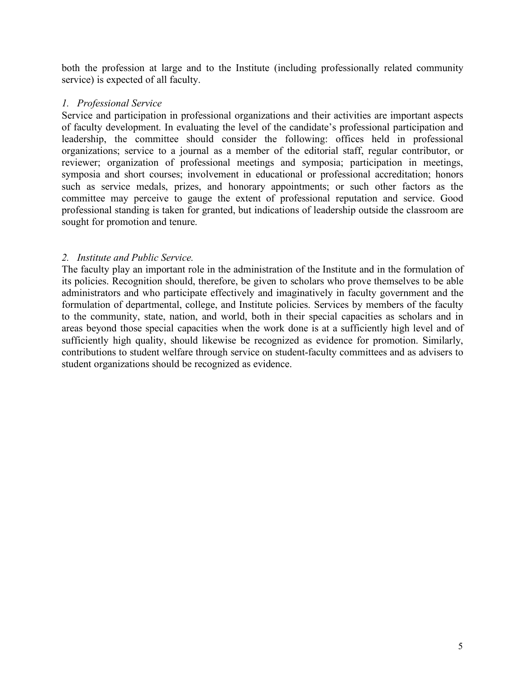both the profession at large and to the Institute (including professionally related community service) is expected of all faculty.

#### *1. Professional Service*

Service and participation in professional organizations and their activities are important aspects of faculty development. In evaluating the level of the candidate's professional participation and leadership, the committee should consider the following: offices held in professional organizations; service to a journal as a member of the editorial staff, regular contributor, or reviewer; organization of professional meetings and symposia; participation in meetings, symposia and short courses; involvement in educational or professional accreditation; honors such as service medals, prizes, and honorary appointments; or such other factors as the committee may perceive to gauge the extent of professional reputation and service. Good professional standing is taken for granted, but indications of leadership outside the classroom are sought for promotion and tenure.

#### *2. Institute and Public Service.*

The faculty play an important role in the administration of the Institute and in the formulation of its policies. Recognition should, therefore, be given to scholars who prove themselves to be able administrators and who participate effectively and imaginatively in faculty government and the formulation of departmental, college, and Institute policies. Services by members of the faculty to the community, state, nation, and world, both in their special capacities as scholars and in areas beyond those special capacities when the work done is at a sufficiently high level and of sufficiently high quality, should likewise be recognized as evidence for promotion. Similarly, contributions to student welfare through service on student-faculty committees and as advisers to student organizations should be recognized as evidence.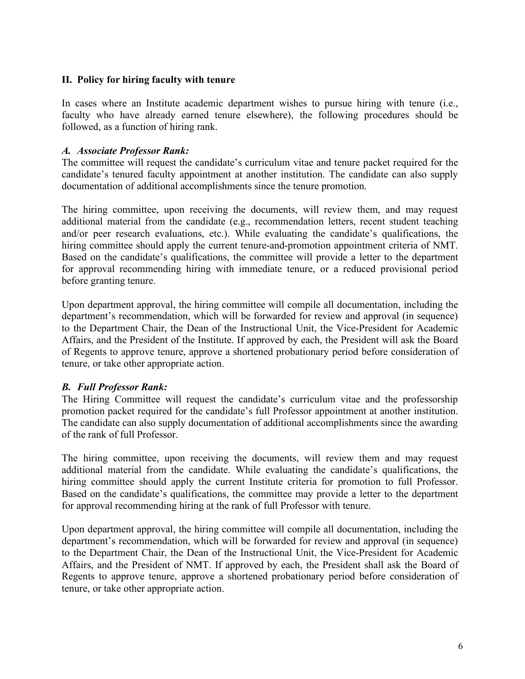# **II. Policy for hiring faculty with tenure**

In cases where an Institute academic department wishes to pursue hiring with tenure (i.e., faculty who have already earned tenure elsewhere), the following procedures should be followed, as a function of hiring rank.

#### *A. Associate Professor Rank:*

The committee will request the candidate's curriculum vitae and tenure packet required for the candidate's tenured faculty appointment at another institution. The candidate can also supply documentation of additional accomplishments since the tenure promotion.

The hiring committee, upon receiving the documents, will review them, and may request additional material from the candidate (e.g., recommendation letters, recent student teaching and/or peer research evaluations, etc.). While evaluating the candidate's qualifications, the hiring committee should apply the current tenure-and-promotion appointment criteria of NMT. Based on the candidate's qualifications, the committee will provide a letter to the department for approval recommending hiring with immediate tenure, or a reduced provisional period before granting tenure.

Upon department approval, the hiring committee will compile all documentation, including the department's recommendation, which will be forwarded for review and approval (in sequence) to the Department Chair, the Dean of the Instructional Unit, the Vice-President for Academic Affairs, and the President of the Institute. If approved by each, the President will ask the Board of Regents to approve tenure, approve a shortened probationary period before consideration of tenure, or take other appropriate action.

# *B. Full Professor Rank:*

The Hiring Committee will request the candidate's curriculum vitae and the professorship promotion packet required for the candidate's full Professor appointment at another institution. The candidate can also supply documentation of additional accomplishments since the awarding of the rank of full Professor.

The hiring committee, upon receiving the documents, will review them and may request additional material from the candidate. While evaluating the candidate's qualifications, the hiring committee should apply the current Institute criteria for promotion to full Professor. Based on the candidate's qualifications, the committee may provide a letter to the department for approval recommending hiring at the rank of full Professor with tenure.

Upon department approval, the hiring committee will compile all documentation, including the department's recommendation, which will be forwarded for review and approval (in sequence) to the Department Chair, the Dean of the Instructional Unit, the Vice-President for Academic Affairs, and the President of NMT. If approved by each, the President shall ask the Board of Regents to approve tenure, approve a shortened probationary period before consideration of tenure, or take other appropriate action.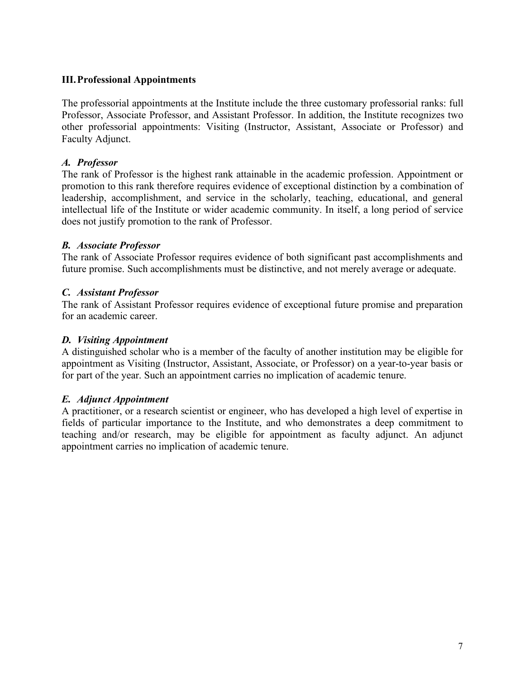# **III.Professional Appointments**

The professorial appointments at the Institute include the three customary professorial ranks: full Professor, Associate Professor, and Assistant Professor. In addition, the Institute recognizes two other professorial appointments: Visiting (Instructor, Assistant, Associate or Professor) and Faculty Adjunct.

# *A. Professor*

The rank of Professor is the highest rank attainable in the academic profession. Appointment or promotion to this rank therefore requires evidence of exceptional distinction by a combination of leadership, accomplishment, and service in the scholarly, teaching, educational, and general intellectual life of the Institute or wider academic community. In itself, a long period of service does not justify promotion to the rank of Professor.

# *B. Associate Professor*

The rank of Associate Professor requires evidence of both significant past accomplishments and future promise. Such accomplishments must be distinctive, and not merely average or adequate.

# *C. Assistant Professor*

The rank of Assistant Professor requires evidence of exceptional future promise and preparation for an academic career.

# *D. Visiting Appointment*

A distinguished scholar who is a member of the faculty of another institution may be eligible for appointment as Visiting (Instructor, Assistant, Associate, or Professor) on a year-to-year basis or for part of the year. Such an appointment carries no implication of academic tenure.

# *E. Adjunct Appointment*

A practitioner, or a research scientist or engineer, who has developed a high level of expertise in fields of particular importance to the Institute, and who demonstrates a deep commitment to teaching and/or research, may be eligible for appointment as faculty adjunct. An adjunct appointment carries no implication of academic tenure.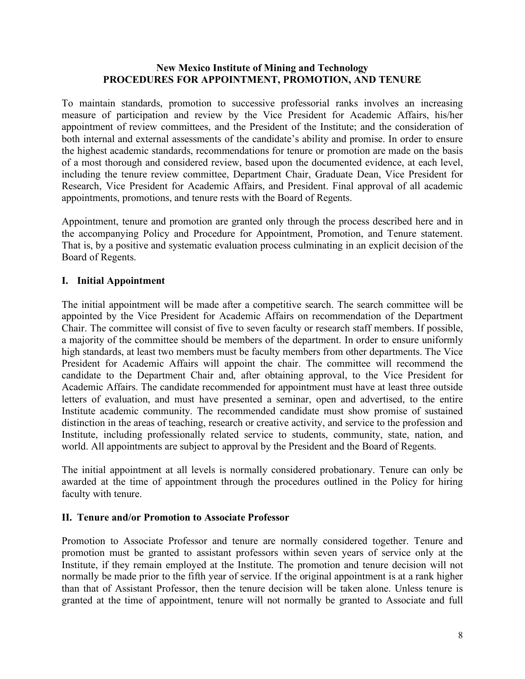#### **New Mexico Institute of Mining and Technology PROCEDURES FOR APPOINTMENT, PROMOTION, AND TENURE**

To maintain standards, promotion to successive professorial ranks involves an increasing measure of participation and review by the Vice President for Academic Affairs, his/her appointment of review committees, and the President of the Institute; and the consideration of both internal and external assessments of the candidate's ability and promise. In order to ensure the highest academic standards, recommendations for tenure or promotion are made on the basis of a most thorough and considered review, based upon the documented evidence, at each level, including the tenure review committee, Department Chair, Graduate Dean, Vice President for Research, Vice President for Academic Affairs, and President. Final approval of all academic appointments, promotions, and tenure rests with the Board of Regents.

Appointment, tenure and promotion are granted only through the process described here and in the accompanying Policy and Procedure for Appointment, Promotion, and Tenure statement. That is, by a positive and systematic evaluation process culminating in an explicit decision of the Board of Regents.

#### **I. Initial Appointment**

The initial appointment will be made after a competitive search. The search committee will be appointed by the Vice President for Academic Affairs on recommendation of the Department Chair. The committee will consist of five to seven faculty or research staff members. If possible, a majority of the committee should be members of the department. In order to ensure uniformly high standards, at least two members must be faculty members from other departments. The Vice President for Academic Affairs will appoint the chair. The committee will recommend the candidate to the Department Chair and, after obtaining approval, to the Vice President for Academic Affairs. The candidate recommended for appointment must have at least three outside letters of evaluation, and must have presented a seminar, open and advertised, to the entire Institute academic community. The recommended candidate must show promise of sustained distinction in the areas of teaching, research or creative activity, and service to the profession and Institute, including professionally related service to students, community, state, nation, and world. All appointments are subject to approval by the President and the Board of Regents.

The initial appointment at all levels is normally considered probationary. Tenure can only be awarded at the time of appointment through the procedures outlined in the Policy for hiring faculty with tenure.

#### **II. Tenure and/or Promotion to Associate Professor**

Promotion to Associate Professor and tenure are normally considered together. Tenure and promotion must be granted to assistant professors within seven years of service only at the Institute, if they remain employed at the Institute. The promotion and tenure decision will not normally be made prior to the fifth year of service. If the original appointment is at a rank higher than that of Assistant Professor, then the tenure decision will be taken alone. Unless tenure is granted at the time of appointment, tenure will not normally be granted to Associate and full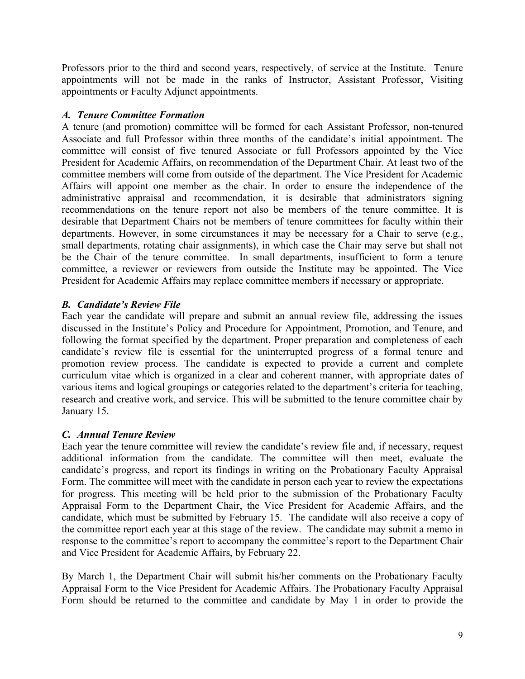Professors prior to the third and second years, respectively, of service at the Institute. Tenure appointments will not be made in the ranks of Instructor, Assistant Professor, Visiting appointments or Faculty Adjunct appointments.

# *A. Tenure Committee Formation*

A tenure (and promotion) committee will be formed for each Assistant Professor, non-tenured Associate and full Professor within three months of the candidate's initial appointment. The committee will consist of five tenured Associate or full Professors appointed by the Vice President for Academic Affairs, on recommendation of the Department Chair. At least two of the committee members will come from outside of the department. The Vice President for Academic Affairs will appoint one member as the chair. In order to ensure the independence of the administrative appraisal and recommendation, it is desirable that administrators signing recommendations on the tenure report not also be members of the tenure committee. It is desirable that Department Chairs not be members of tenure committees for faculty within their departments. However, in some circumstances it may be necessary for a Chair to serve (e.g., small departments, rotating chair assignments), in which case the Chair may serve but shall not be the Chair of the tenure committee. In small departments, insufficient to form a tenure committee, a reviewer or reviewers from outside the Institute may be appointed. The Vice President for Academic Affairs may replace committee members if necessary or appropriate.

# *B. Candidate's Review File*

Each year the candidate will prepare and submit an annual review file, addressing the issues discussed in the Institute's Policy and Procedure for Appointment, Promotion, and Tenure, and following the format specified by the department. Proper preparation and completeness of each candidate's review file is essential for the uninterrupted progress of a formal tenure and promotion review process. The candidate is expected to provide a current and complete curriculum vitae which is organized in a clear and coherent manner, with appropriate dates of various items and logical groupings or categories related to the department's criteria for teaching, research and creative work, and service. This will be submitted to the tenure committee chair by January 15.

# *C. Annual Tenure Review*

Each year the tenure committee will review the candidate's review file and, if necessary, request additional information from the candidate. The committee will then meet, evaluate the candidate's progress, and report its findings in writing on the Probationary Faculty Appraisal Form. The committee will meet with the candidate in person each year to review the expectations for progress. This meeting will be held prior to the submission of the Probationary Faculty Appraisal Form to the Department Chair, the Vice President for Academic Affairs, and the candidate, which must be submitted by February 15. The candidate will also receive a copy of the committee report each year at this stage of the review. The candidate may submit a memo in response to the committee's report to accompany the committee's report to the Department Chair and Vice President for Academic Affairs, by February 22.

By March 1, the Department Chair will submit his/her comments on the Probationary Faculty Appraisal Form to the Vice President for Academic Affairs. The Probationary Faculty Appraisal Form should be returned to the committee and candidate by May 1 in order to provide the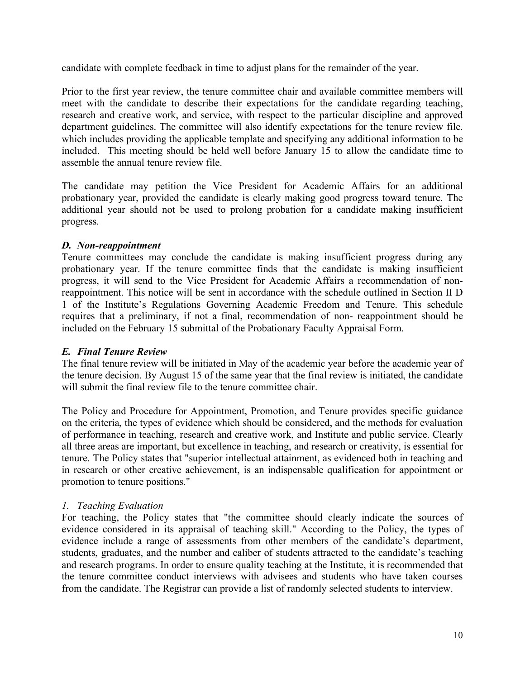candidate with complete feedback in time to adjust plans for the remainder of the year.

Prior to the first year review, the tenure committee chair and available committee members will meet with the candidate to describe their expectations for the candidate regarding teaching, research and creative work, and service, with respect to the particular discipline and approved department guidelines. The committee will also identify expectations for the tenure review file. which includes providing the applicable template and specifying any additional information to be included. This meeting should be held well before January 15 to allow the candidate time to assemble the annual tenure review file.

The candidate may petition the Vice President for Academic Affairs for an additional probationary year, provided the candidate is clearly making good progress toward tenure. The additional year should not be used to prolong probation for a candidate making insufficient progress.

# *D. Non-reappointment*

Tenure committees may conclude the candidate is making insufficient progress during any probationary year. If the tenure committee finds that the candidate is making insufficient progress, it will send to the Vice President for Academic Affairs a recommendation of nonreappointment. This notice will be sent in accordance with the schedule outlined in Section II D 1 of the Institute's Regulations Governing Academic Freedom and Tenure. This schedule requires that a preliminary, if not a final, recommendation of non- reappointment should be included on the February 15 submittal of the Probationary Faculty Appraisal Form.

# *E. Final Tenure Review*

The final tenure review will be initiated in May of the academic year before the academic year of the tenure decision. By August 15 of the same year that the final review is initiated, the candidate will submit the final review file to the tenure committee chair.

The Policy and Procedure for Appointment, Promotion, and Tenure provides specific guidance on the criteria, the types of evidence which should be considered, and the methods for evaluation of performance in teaching, research and creative work, and Institute and public service. Clearly all three areas are important, but excellence in teaching, and research or creativity, is essential for tenure. The Policy states that "superior intellectual attainment, as evidenced both in teaching and in research or other creative achievement, is an indispensable qualification for appointment or promotion to tenure positions."

# *1. Teaching Evaluation*

For teaching, the Policy states that "the committee should clearly indicate the sources of evidence considered in its appraisal of teaching skill." According to the Policy, the types of evidence include a range of assessments from other members of the candidate's department, students, graduates, and the number and caliber of students attracted to the candidate's teaching and research programs. In order to ensure quality teaching at the Institute, it is recommended that the tenure committee conduct interviews with advisees and students who have taken courses from the candidate. The Registrar can provide a list of randomly selected students to interview.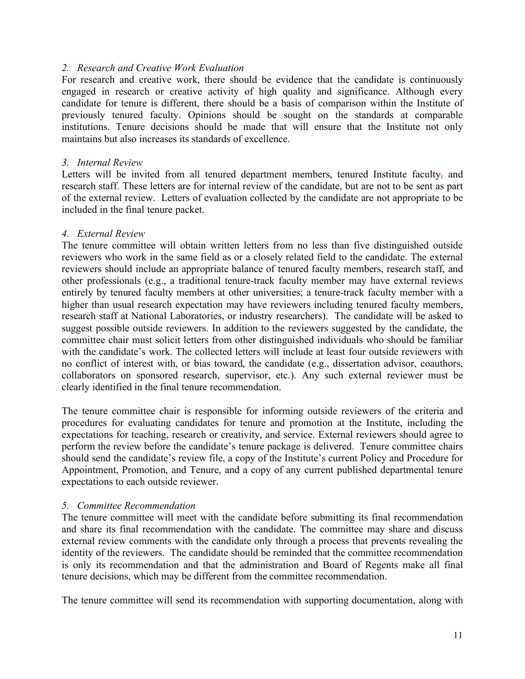#### *2. Research and Creative Work Evaluation*

For research and creative work, there should be evidence that the candidate is continuously engaged in research or creative activity of high quality and significance. Although every candidate for tenure is different, there should be a basis of comparison within the Institute of previously tenured faculty. Opinions should be sought on the standards at comparable institutions. Tenure decisions should be made that will ensure that the Institute not only maintains but also increases its standards of excellence.

#### *3. Internal Review*

Letters will be invited from all tenured department members, tenured Institute faculty, and research staff. These letters are for internal review of the candidate, but are not to be sent as part of the external review. Letters of evaluation collected by the candidate are not appropriate to be included in the final tenure packet.

#### *4. External Review*

The tenure committee will obtain written letters from no less than five distinguished outside reviewers who work in the same field as or a closely related field to the candidate. The external reviewers should include an appropriate balance of tenured faculty members, research staff, and other professionals (e.g., a traditional tenure-track faculty member may have external reviews entirely by tenured faculty members at other universities; a tenure-track faculty member with a higher than usual research expectation may have reviewers including tenured faculty members, research staff at National Laboratories, or industry researchers). The candidate will be asked to suggest possible outside reviewers. In addition to the reviewers suggested by the candidate, the committee chair must solicit letters from other distinguished individuals who should be familiar with the candidate's work. The collected letters will include at least four outside reviewers with no conflict of interest with, or bias toward, the candidate (e.g., dissertation advisor, coauthors, collaborators on sponsored research, supervisor, etc.). Any such external reviewer must be clearly identified in the final tenure recommendation.

The tenure committee chair is responsible for informing outside reviewers of the criteria and procedures for evaluating candidates for tenure and promotion at the Institute, including the expectations for teaching, research or creativity, and service. External reviewers should agree to perform the review before the candidate's tenure package is delivered. Tenure committee chairs should send the candidate's review file, a copy of the Institute's current Policy and Procedure for Appointment, Promotion, and Tenure, and a copy of any current published departmental tenure expectations to each outside reviewer.

#### *5. Committee Recommendation*

The tenure committee will meet with the candidate before submitting its final recommendation and share its final recommendation with the candidate. The committee may share and discuss external review comments with the candidate only through a process that prevents revealing the identity of the reviewers. The candidate should be reminded that the committee recommendation is only its recommendation and that the administration and Board of Regents make all final tenure decisions, which may be different from the committee recommendation.

The tenure committee will send its recommendation with supporting documentation, along with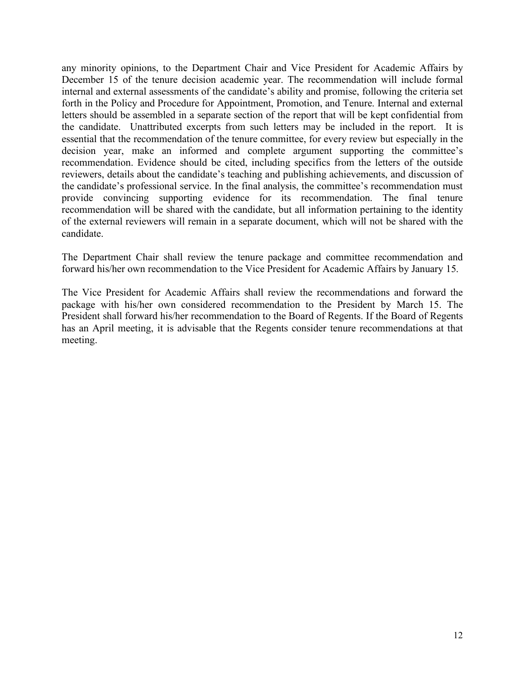any minority opinions, to the Department Chair and Vice President for Academic Affairs by December 15 of the tenure decision academic year. The recommendation will include formal internal and external assessments of the candidate's ability and promise, following the criteria set forth in the Policy and Procedure for Appointment, Promotion, and Tenure. Internal and external letters should be assembled in a separate section of the report that will be kept confidential from the candidate. Unattributed excerpts from such letters may be included in the report. It is essential that the recommendation of the tenure committee, for every review but especially in the decision year, make an informed and complete argument supporting the committee's recommendation. Evidence should be cited, including specifics from the letters of the outside reviewers, details about the candidate's teaching and publishing achievements, and discussion of the candidate's professional service. In the final analysis, the committee's recommendation must provide convincing supporting evidence for its recommendation. The final tenure recommendation will be shared with the candidate, but all information pertaining to the identity of the external reviewers will remain in a separate document, which will not be shared with the candidate.

The Department Chair shall review the tenure package and committee recommendation and forward his/her own recommendation to the Vice President for Academic Affairs by January 15.

The Vice President for Academic Affairs shall review the recommendations and forward the package with his/her own considered recommendation to the President by March 15. The President shall forward his/her recommendation to the Board of Regents. If the Board of Regents has an April meeting, it is advisable that the Regents consider tenure recommendations at that meeting.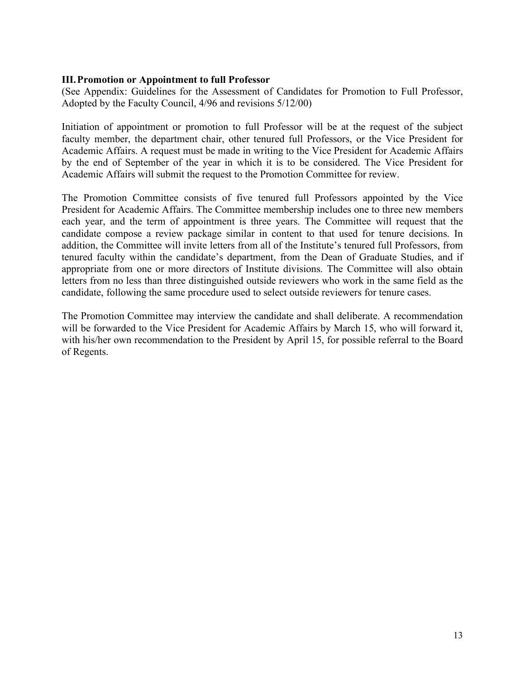#### **III.Promotion or Appointment to full Professor**

(See Appendix: Guidelines for the Assessment of Candidates for Promotion to Full Professor, Adopted by the Faculty Council, 4/96 and revisions 5/12/00)

Initiation of appointment or promotion to full Professor will be at the request of the subject faculty member, the department chair, other tenured full Professors, or the Vice President for Academic Affairs. A request must be made in writing to the Vice President for Academic Affairs by the end of September of the year in which it is to be considered. The Vice President for Academic Affairs will submit the request to the Promotion Committee for review.

The Promotion Committee consists of five tenured full Professors appointed by the Vice President for Academic Affairs. The Committee membership includes one to three new members each year, and the term of appointment is three years. The Committee will request that the candidate compose a review package similar in content to that used for tenure decisions. In addition, the Committee will invite letters from all of the Institute's tenured full Professors, from tenured faculty within the candidate's department, from the Dean of Graduate Studies, and if appropriate from one or more directors of Institute divisions. The Committee will also obtain letters from no less than three distinguished outside reviewers who work in the same field as the candidate, following the same procedure used to select outside reviewers for tenure cases.

The Promotion Committee may interview the candidate and shall deliberate. A recommendation will be forwarded to the Vice President for Academic Affairs by March 15, who will forward it, with his/her own recommendation to the President by April 15, for possible referral to the Board of Regents.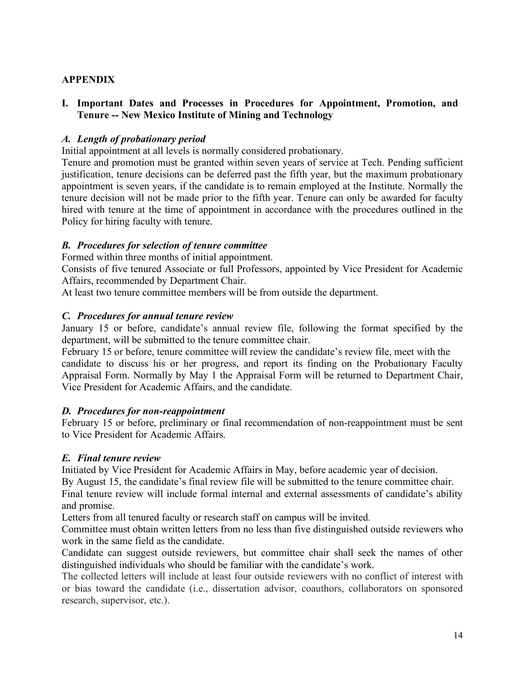# **APPENDIX**

### **I. Important Dates and Processes in Procedures for Appointment, Promotion, and Tenure -- New Mexico Institute of Mining and Technology**

#### *A. Length of probationary period*

Initial appointment at all levels is normally considered probationary.

Tenure and promotion must be granted within seven years of service at Tech. Pending sufficient justification, tenure decisions can be deferred past the fifth year, but the maximum probationary appointment is seven years, if the candidate is to remain employed at the Institute. Normally the tenure decision will not be made prior to the fifth year. Tenure can only be awarded for faculty hired with tenure at the time of appointment in accordance with the procedures outlined in the Policy for hiring faculty with tenure.

#### *B. Procedures for selection of tenure committee*

Formed within three months of initial appointment.

Consists of five tenured Associate or full Professors, appointed by Vice President for Academic Affairs, recommended by Department Chair.

At least two tenure committee members will be from outside the department.

#### *C. Procedures for annual tenure review*

January 15 or before, candidate's annual review file, following the format specified by the department, will be submitted to the tenure committee chair.

February 15 or before, tenure committee will review the candidate's review file, meet with the candidate to discuss his or her progress, and report its finding on the Probationary Faculty Appraisal Form. Normally by May 1 the Appraisal Form will be returned to Department Chair, Vice President for Academic Affairs, and the candidate.

#### *D. Procedures for non-reappointment*

February 15 or before, preliminary or final recommendation of non-reappointment must be sent to Vice President for Academic Affairs.

# *E. Final tenure review*

Initiated by Vice President for Academic Affairs in May, before academic year of decision.

By August 15, the candidate's final review file will be submitted to the tenure committee chair.

Final tenure review will include formal internal and external assessments of candidate's ability and promise.

Letters from all tenured faculty or research staff on campus will be invited.

Committee must obtain written letters from no less than five distinguished outside reviewers who work in the same field as the candidate.

Candidate can suggest outside reviewers, but committee chair shall seek the names of other distinguished individuals who should be familiar with the candidate's work.

The collected letters will include at least four outside reviewers with no conflict of interest with or bias toward the candidate (i.e., dissertation advisor, coauthors, collaborators on sponsored research, supervisor, etc.).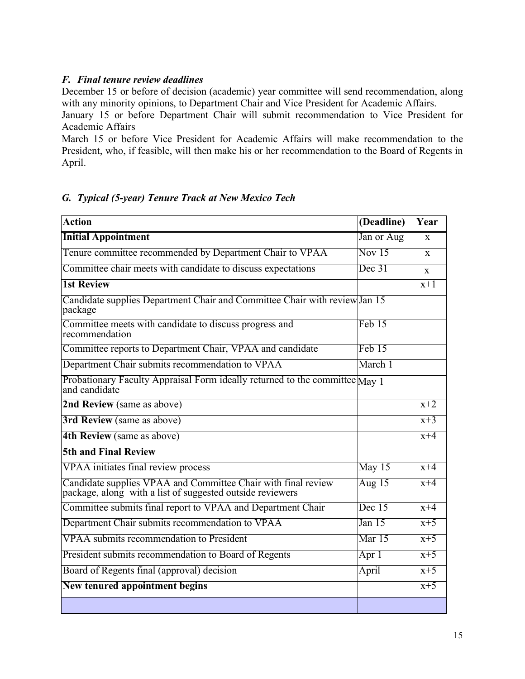# *F. Final tenure review deadlines*

December 15 or before of decision (academic) year committee will send recommendation, along with any minority opinions, to Department Chair and Vice President for Academic Affairs.

January 15 or before Department Chair will submit recommendation to Vice President for Academic Affairs

March 15 or before Vice President for Academic Affairs will make recommendation to the President, who, if feasible, will then make his or her recommendation to the Board of Regents in April.

# *G. Typical (5-year) Tenure Track at New Mexico Tech*

| <b>Action</b>                                                                                                              | (Deadline) | Year             |
|----------------------------------------------------------------------------------------------------------------------------|------------|------------------|
| <b>Initial Appointment</b>                                                                                                 | Jan or Aug | $\mathbf{x}$     |
| Tenure committee recommended by Department Chair to VPAA                                                                   | Nov $15$   | $\mathbf{x}$     |
| Committee chair meets with candidate to discuss expectations                                                               | Dec 31     | $\mathbf{x}$     |
| <b>1st Review</b>                                                                                                          |            | $x+1$            |
| Candidate supplies Department Chair and Committee Chair with review Jan 15<br>package                                      |            |                  |
| Committee meets with candidate to discuss progress and<br>recommendation                                                   | Feb 15     |                  |
| Committee reports to Department Chair, VPAA and candidate                                                                  | Feb 15     |                  |
| Department Chair submits recommendation to VPAA                                                                            | March 1    |                  |
| Probationary Faculty Appraisal Form ideally returned to the committee May 1<br>and candidate                               |            |                  |
| 2nd Review (same as above)                                                                                                 |            | $x+2$            |
| 3rd Review (same as above)                                                                                                 |            | $\overline{x+3}$ |
| 4th Review (same as above)                                                                                                 |            | $x+4$            |
| <b>5th and Final Review</b>                                                                                                |            |                  |
| <b>VPAA</b> initiates final review process                                                                                 | May 15     | $x+4$            |
| Candidate supplies VPAA and Committee Chair with final review<br>package, along with a list of suggested outside reviewers | Aug $15$   | $x+4$            |
| Committee submits final report to VPAA and Department Chair                                                                | Dec $15$   | $x+4$            |
| Department Chair submits recommendation to VPAA                                                                            | Jan 15     | $x+5$            |
| VPAA submits recommendation to President                                                                                   | Mar $15$   | $x+5$            |
| President submits recommendation to Board of Regents                                                                       | Apr $1$    | $x+5$            |
| Board of Regents final (approval) decision                                                                                 | April      | $x+5$            |
| <b>New tenured appointment begins</b>                                                                                      |            | $x+5$            |
|                                                                                                                            |            |                  |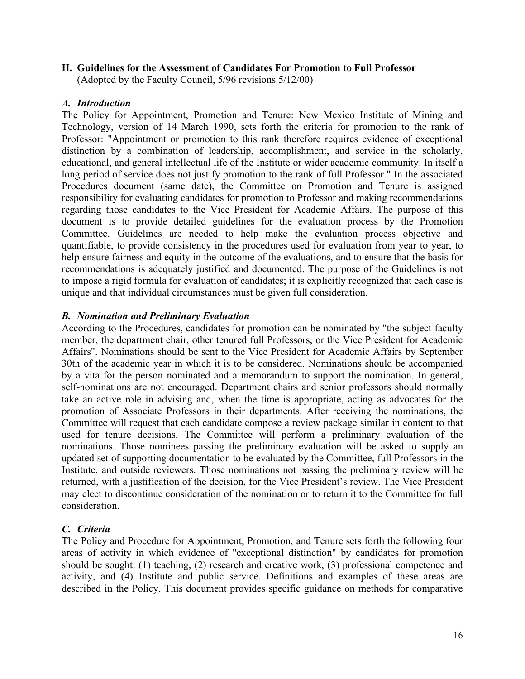#### **II. Guidelines for the Assessment of Candidates For Promotion to Full Professor**

(Adopted by the Faculty Council, 5/96 revisions 5/12/00)

#### *A. Introduction*

The Policy for Appointment, Promotion and Tenure: New Mexico Institute of Mining and Technology, version of 14 March 1990, sets forth the criteria for promotion to the rank of Professor: "Appointment or promotion to this rank therefore requires evidence of exceptional distinction by a combination of leadership, accomplishment, and service in the scholarly, educational, and general intellectual life of the Institute or wider academic community. In itself a long period of service does not justify promotion to the rank of full Professor." In the associated Procedures document (same date), the Committee on Promotion and Tenure is assigned responsibility for evaluating candidates for promotion to Professor and making recommendations regarding those candidates to the Vice President for Academic Affairs. The purpose of this document is to provide detailed guidelines for the evaluation process by the Promotion Committee. Guidelines are needed to help make the evaluation process objective and quantifiable, to provide consistency in the procedures used for evaluation from year to year, to help ensure fairness and equity in the outcome of the evaluations, and to ensure that the basis for recommendations is adequately justified and documented. The purpose of the Guidelines is not to impose a rigid formula for evaluation of candidates; it is explicitly recognized that each case is unique and that individual circumstances must be given full consideration.

#### *B. Nomination and Preliminary Evaluation*

According to the Procedures, candidates for promotion can be nominated by "the subject faculty member, the department chair, other tenured full Professors, or the Vice President for Academic Affairs". Nominations should be sent to the Vice President for Academic Affairs by September 30th of the academic year in which it is to be considered. Nominations should be accompanied by a vita for the person nominated and a memorandum to support the nomination. In general, self-nominations are not encouraged. Department chairs and senior professors should normally take an active role in advising and, when the time is appropriate, acting as advocates for the promotion of Associate Professors in their departments. After receiving the nominations, the Committee will request that each candidate compose a review package similar in content to that used for tenure decisions. The Committee will perform a preliminary evaluation of the nominations. Those nominees passing the preliminary evaluation will be asked to supply an updated set of supporting documentation to be evaluated by the Committee, full Professors in the Institute, and outside reviewers. Those nominations not passing the preliminary review will be returned, with a justification of the decision, for the Vice President's review. The Vice President may elect to discontinue consideration of the nomination or to return it to the Committee for full consideration.

# *C. Criteria*

The Policy and Procedure for Appointment, Promotion, and Tenure sets forth the following four areas of activity in which evidence of "exceptional distinction" by candidates for promotion should be sought: (1) teaching, (2) research and creative work, (3) professional competence and activity, and (4) Institute and public service. Definitions and examples of these areas are described in the Policy. This document provides specific guidance on methods for comparative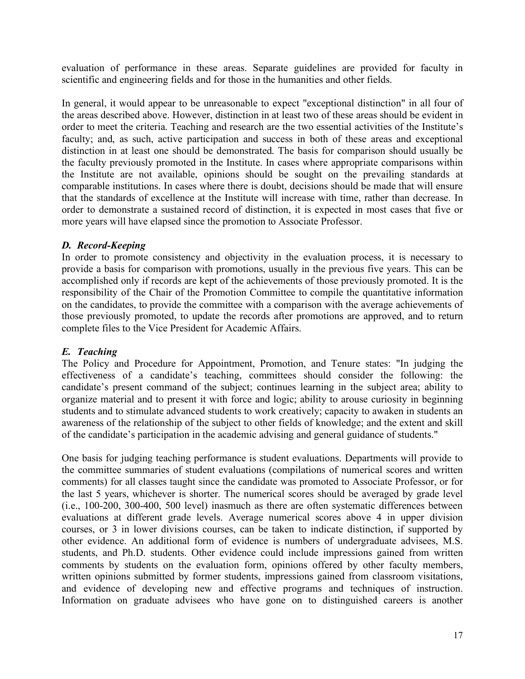evaluation of performance in these areas. Separate guidelines are provided for faculty in scientific and engineering fields and for those in the humanities and other fields.

In general, it would appear to be unreasonable to expect "exceptional distinction" in all four of the areas described above. However, distinction in at least two of these areas should be evident in order to meet the criteria. Teaching and research are the two essential activities of the Institute's faculty; and, as such, active participation and success in both of these areas and exceptional distinction in at least one should be demonstrated. The basis for comparison should usually be the faculty previously promoted in the Institute. In cases where appropriate comparisons within the Institute are not available, opinions should be sought on the prevailing standards at comparable institutions. In cases where there is doubt, decisions should be made that will ensure that the standards of excellence at the Institute will increase with time, rather than decrease. In order to demonstrate a sustained record of distinction, it is expected in most cases that five or more years will have elapsed since the promotion to Associate Professor.

# *D. Record-Keeping*

In order to promote consistency and objectivity in the evaluation process, it is necessary to provide a basis for comparison with promotions, usually in the previous five years. This can be accomplished only if records are kept of the achievements of those previously promoted. It is the responsibility of the Chair of the Promotion Committee to compile the quantitative information on the candidates, to provide the committee with a comparison with the average achievements of those previously promoted, to update the records after promotions are approved, and to return complete files to the Vice President for Academic Affairs.

# *E. Teaching*

The Policy and Procedure for Appointment, Promotion, and Tenure states: "In judging the effectiveness of a candidate's teaching, committees should consider the following: the candidate's present command of the subject; continues learning in the subject area; ability to organize material and to present it with force and logic; ability to arouse curiosity in beginning students and to stimulate advanced students to work creatively; capacity to awaken in students an awareness of the relationship of the subject to other fields of knowledge; and the extent and skill of the candidate's participation in the academic advising and general guidance of students."

One basis for judging teaching performance is student evaluations. Departments will provide to the committee summaries of student evaluations (compilations of numerical scores and written comments) for all classes taught since the candidate was promoted to Associate Professor, or for the last 5 years, whichever is shorter. The numerical scores should be averaged by grade level (i.e., 100-200, 300-400, 500 level) inasmuch as there are often systematic differences between evaluations at different grade levels. Average numerical scores above 4 in upper division courses, or 3 in lower divisions courses, can be taken to indicate distinction, if supported by other evidence. An additional form of evidence is numbers of undergraduate advisees, M.S. students, and Ph.D. students. Other evidence could include impressions gained from written comments by students on the evaluation form, opinions offered by other faculty members, written opinions submitted by former students, impressions gained from classroom visitations, and evidence of developing new and effective programs and techniques of instruction. Information on graduate advisees who have gone on to distinguished careers is another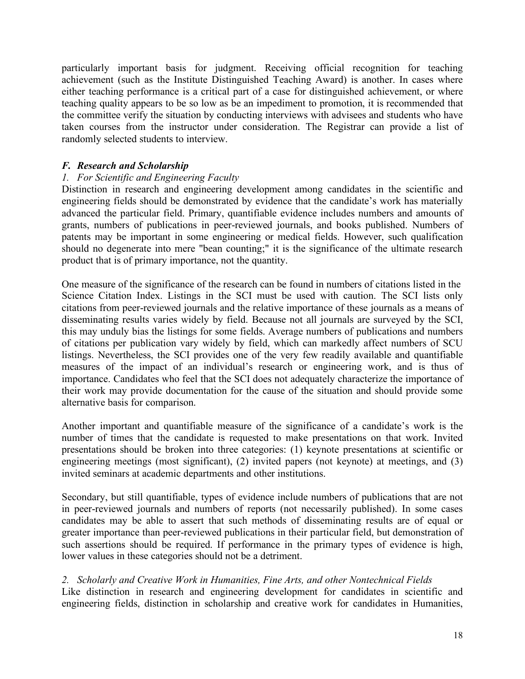particularly important basis for judgment. Receiving official recognition for teaching achievement (such as the Institute Distinguished Teaching Award) is another. In cases where either teaching performance is a critical part of a case for distinguished achievement, or where teaching quality appears to be so low as be an impediment to promotion, it is recommended that the committee verify the situation by conducting interviews with advisees and students who have taken courses from the instructor under consideration. The Registrar can provide a list of randomly selected students to interview.

# *F. Research and Scholarship*

# *1. For Scientific and Engineering Faculty*

Distinction in research and engineering development among candidates in the scientific and engineering fields should be demonstrated by evidence that the candidate's work has materially advanced the particular field. Primary, quantifiable evidence includes numbers and amounts of grants, numbers of publications in peer-reviewed journals, and books published. Numbers of patents may be important in some engineering or medical fields. However, such qualification should no degenerate into mere "bean counting;" it is the significance of the ultimate research product that is of primary importance, not the quantity.

One measure of the significance of the research can be found in numbers of citations listed in the Science Citation Index. Listings in the SCI must be used with caution. The SCI lists only citations from peer-reviewed journals and the relative importance of these journals as a means of disseminating results varies widely by field. Because not all journals are surveyed by the SCI, this may unduly bias the listings for some fields. Average numbers of publications and numbers of citations per publication vary widely by field, which can markedly affect numbers of SCU listings. Nevertheless, the SCI provides one of the very few readily available and quantifiable measures of the impact of an individual's research or engineering work, and is thus of importance. Candidates who feel that the SCI does not adequately characterize the importance of their work may provide documentation for the cause of the situation and should provide some alternative basis for comparison.

Another important and quantifiable measure of the significance of a candidate's work is the number of times that the candidate is requested to make presentations on that work. Invited presentations should be broken into three categories: (1) keynote presentations at scientific or engineering meetings (most significant), (2) invited papers (not keynote) at meetings, and (3) invited seminars at academic departments and other institutions.

Secondary, but still quantifiable, types of evidence include numbers of publications that are not in peer-reviewed journals and numbers of reports (not necessarily published). In some cases candidates may be able to assert that such methods of disseminating results are of equal or greater importance than peer-reviewed publications in their particular field, but demonstration of such assertions should be required. If performance in the primary types of evidence is high, lower values in these categories should not be a detriment.

# *2. Scholarly and Creative Work in Humanities, Fine Arts, and other Nontechnical Fields*

Like distinction in research and engineering development for candidates in scientific and engineering fields, distinction in scholarship and creative work for candidates in Humanities,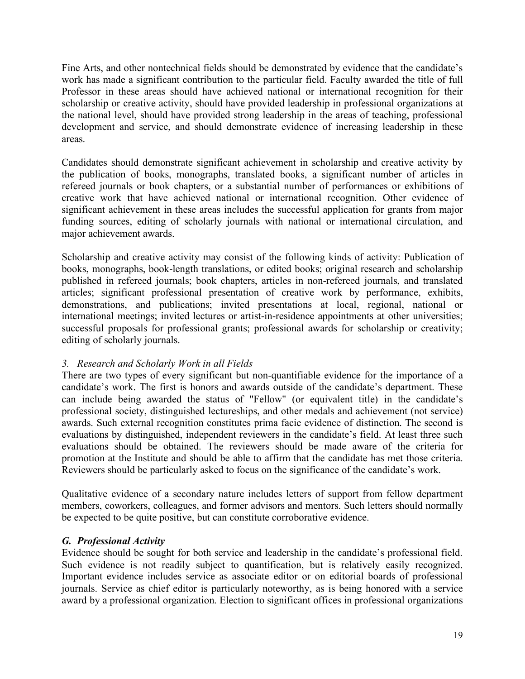Fine Arts, and other nontechnical fields should be demonstrated by evidence that the candidate's work has made a significant contribution to the particular field. Faculty awarded the title of full Professor in these areas should have achieved national or international recognition for their scholarship or creative activity, should have provided leadership in professional organizations at the national level, should have provided strong leadership in the areas of teaching, professional development and service, and should demonstrate evidence of increasing leadership in these areas.

Candidates should demonstrate significant achievement in scholarship and creative activity by the publication of books, monographs, translated books, a significant number of articles in refereed journals or book chapters, or a substantial number of performances or exhibitions of creative work that have achieved national or international recognition. Other evidence of significant achievement in these areas includes the successful application for grants from major funding sources, editing of scholarly journals with national or international circulation, and major achievement awards.

Scholarship and creative activity may consist of the following kinds of activity: Publication of books, monographs, book-length translations, or edited books; original research and scholarship published in refereed journals; book chapters, articles in non-refereed journals, and translated articles; significant professional presentation of creative work by performance, exhibits, demonstrations, and publications; invited presentations at local, regional, national or international meetings; invited lectures or artist-in-residence appointments at other universities; successful proposals for professional grants; professional awards for scholarship or creativity; editing of scholarly journals.

# *3. Research and Scholarly Work in all Fields*

There are two types of every significant but non-quantifiable evidence for the importance of a candidate's work. The first is honors and awards outside of the candidate's department. These can include being awarded the status of "Fellow" (or equivalent title) in the candidate's professional society, distinguished lectureships, and other medals and achievement (not service) awards. Such external recognition constitutes prima facie evidence of distinction. The second is evaluations by distinguished, independent reviewers in the candidate's field. At least three such evaluations should be obtained. The reviewers should be made aware of the criteria for promotion at the Institute and should be able to affirm that the candidate has met those criteria. Reviewers should be particularly asked to focus on the significance of the candidate's work.

Qualitative evidence of a secondary nature includes letters of support from fellow department members, coworkers, colleagues, and former advisors and mentors. Such letters should normally be expected to be quite positive, but can constitute corroborative evidence.

# *G. Professional Activity*

Evidence should be sought for both service and leadership in the candidate's professional field. Such evidence is not readily subject to quantification, but is relatively easily recognized. Important evidence includes service as associate editor or on editorial boards of professional journals. Service as chief editor is particularly noteworthy, as is being honored with a service award by a professional organization. Election to significant offices in professional organizations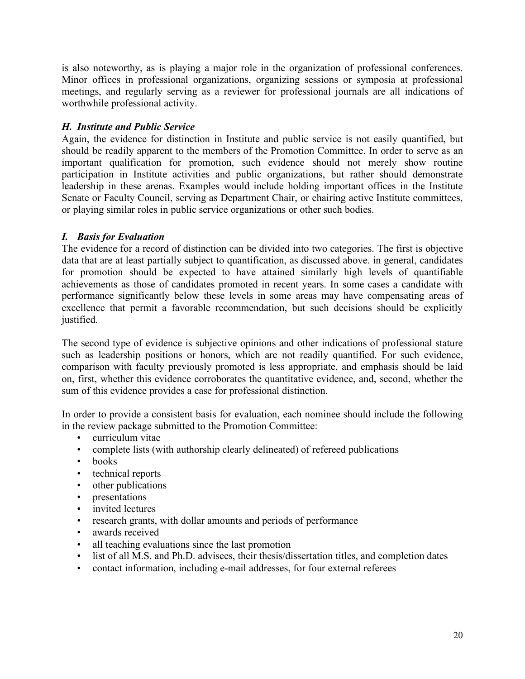is also noteworthy, as is playing a major role in the organization of professional conferences. Minor offices in professional organizations, organizing sessions or symposia at professional meetings, and regularly serving as a reviewer for professional journals are all indications of worthwhile professional activity.

# *H. Institute and Public Service*

Again, the evidence for distinction in Institute and public service is not easily quantified, but should be readily apparent to the members of the Promotion Committee. In order to serve as an important qualification for promotion, such evidence should not merely show routine participation in Institute activities and public organizations, but rather should demonstrate leadership in these arenas. Examples would include holding important offices in the Institute Senate or Faculty Council, serving as Department Chair, or chairing active Institute committees, or playing similar roles in public service organizations or other such bodies.

# *I. Basis for Evaluation*

The evidence for a record of distinction can be divided into two categories. The first is objective data that are at least partially subject to quantification, as discussed above. in general, candidates for promotion should be expected to have attained similarly high levels of quantifiable achievements as those of candidates promoted in recent years. In some cases a candidate with performance significantly below these levels in some areas may have compensating areas of excellence that permit a favorable recommendation, but such decisions should be explicitly justified.

The second type of evidence is subjective opinions and other indications of professional stature such as leadership positions or honors, which are not readily quantified. For such evidence, comparison with faculty previously promoted is less appropriate, and emphasis should be laid on, first, whether this evidence corroborates the quantitative evidence, and, second, whether the sum of this evidence provides a case for professional distinction.

In order to provide a consistent basis for evaluation, each nominee should include the following in the review package submitted to the Promotion Committee:

- curriculum vitae
- complete lists (with authorship clearly delineated) of refereed publications
- books
- technical reports
- other publications
- presentations
- invited lectures
- research grants, with dollar amounts and periods of performance
- awards received
- all teaching evaluations since the last promotion
- list of all M.S. and Ph.D. advisees, their thesis/dissertation titles, and completion dates
- contact information, including e-mail addresses, for four external referees